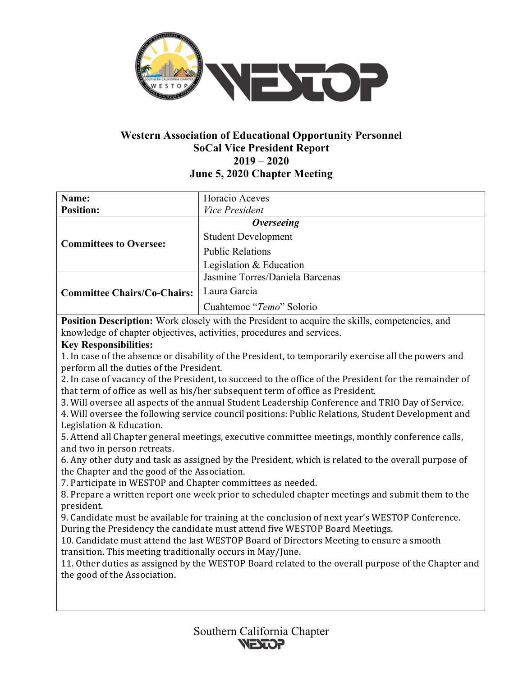

# **Western Association of Educational Opportunity Personnel SoCal Vice President Report 2019 – 2020 June 5, 2020 Chapter Meeting**

| Name:                              | Horacio Aceves                  |
|------------------------------------|---------------------------------|
| <b>Position:</b>                   | Vice President                  |
| <b>Committees to Oversee:</b>      | <b>Overseeing</b>               |
|                                    | <b>Student Development</b>      |
|                                    | <b>Public Relations</b>         |
|                                    | Legislation & Education         |
| <b>Committee Chairs/Co-Chairs:</b> | Jasmine Torres/Daniela Barcenas |
|                                    | Laura Garcia                    |
|                                    | Cuahtemoc "Temo" Solorio        |

**Position Description:** Work closely with the President to acquire the skills, competencies, and knowledge of chapter objectives, activities, procedures and services.

## **Key Responsibilities:**

1. In case of the absence or disability of the President, to temporarily exercise all the powers and perform all the duties of the President.

2. In case of vacancy of the President, to succeed to the office of the President for the remainder of that term of office as well as his/her subsequent term of office as President.

3. Will oversee all aspects of the annual Student Leadership Conference and TRIO Day of Service.

4. Will oversee the following service council positions: Public Relations, Student Development and Legislation & Education.

5. Attend all Chapter general meetings, executive committee meetings, monthly conference calls, and two in person retreats.

6. Any other duty and task as assigned by the President, which is related to the overall purpose of the Chapter and the good of the Association.

7. Participate in WESTOP and Chapter committees as needed.

8. Prepare a written report one week prior to scheduled chapter meetings and submit them to the president.

9. Candidate must be available for training at the conclusion of next year's WESTOP Conference. During the Presidency the candidate must attend five WESTOP Board Meetings.

10. Candidate must attend the last WESTOP Board of Directors Meeting to ensure a smooth transition. This meeting traditionally occurs in May/June.

11. Other duties as assigned by the WESTOP Board related to the overall purpose of the Chapter and the good of the Association.